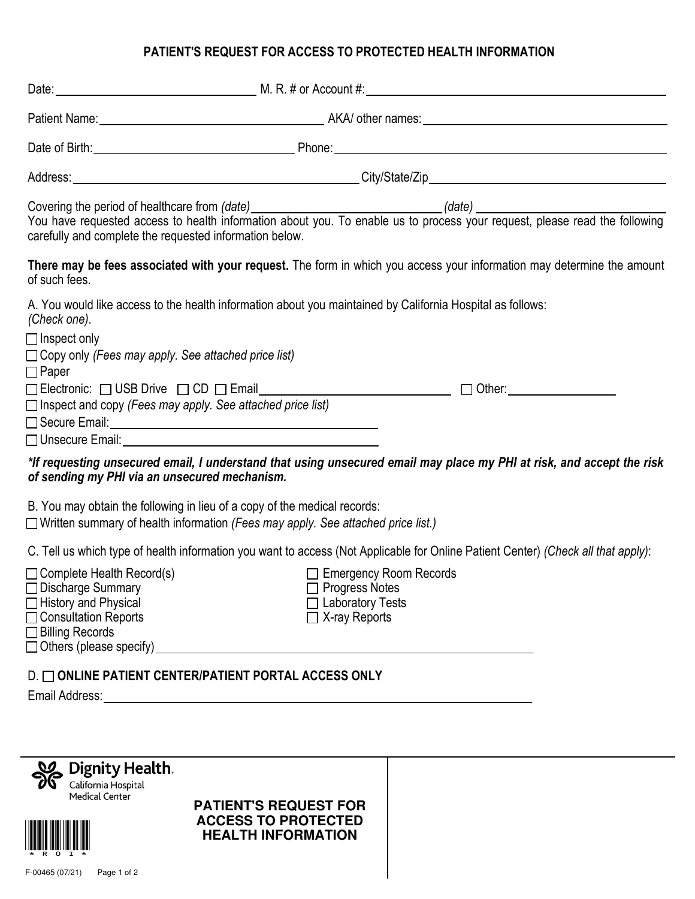## **PATIENT'S REQUEST FOR ACCESS TO PROTECTED HEALTH INFORMATION**

|                                                                                                                                                                                                                                     | Date: <u>New York: New York: New York: New York: New York: New York: New York: New York: New York: New York: New York: New York: New York: New York: New York: New York: New York: New York: New York: New York: New York: New Y</u> |  |
|-------------------------------------------------------------------------------------------------------------------------------------------------------------------------------------------------------------------------------------|--------------------------------------------------------------------------------------------------------------------------------------------------------------------------------------------------------------------------------------|--|
|                                                                                                                                                                                                                                     |                                                                                                                                                                                                                                      |  |
|                                                                                                                                                                                                                                     |                                                                                                                                                                                                                                      |  |
|                                                                                                                                                                                                                                     |                                                                                                                                                                                                                                      |  |
| carefully and complete the requested information below.                                                                                                                                                                             | Covering the period of healthcare from (date)<br>You have requested access to health information about you. To enable us to process your request, please read the following                                                          |  |
| of such fees.                                                                                                                                                                                                                       | There may be fees associated with your request. The form in which you access your information may determine the amount                                                                                                               |  |
| A. You would like access to the health information about you maintained by California Hospital as follows:<br>(Check one).                                                                                                          |                                                                                                                                                                                                                                      |  |
| $\Box$ Inspect only<br>$\Box$ Copy only (Fees may apply. See attached price list)<br>$\Box$ Paper                                                                                                                                   |                                                                                                                                                                                                                                      |  |
| $\Box$ Electronic: $\Box$ USB Drive $\Box$ CD $\Box$ Email<br>$\Box$ Inspect and copy (Fees may apply. See attached price list)                                                                                                     | $\Box$ Other:                                                                                                                                                                                                                        |  |
| □ Unsecure Email: <u>United States and States and States and States and States and States and States and States and States and States and States and States and States and States and States and States and States and States a</u> |                                                                                                                                                                                                                                      |  |
| of sending my PHI via an unsecured mechanism.                                                                                                                                                                                       | *If requesting unsecured email, I understand that using unsecured email may place my PHI at risk, and accept the risk                                                                                                                |  |
| B. You may obtain the following in lieu of a copy of the medical records:<br>$\Box$ Written summary of health information (Fees may apply. See attached price list.)                                                                |                                                                                                                                                                                                                                      |  |
| C. Tell us which type of health information you want to access (Not Applicable for Online Patient Center) (Check all that apply):                                                                                                   |                                                                                                                                                                                                                                      |  |
| $\Box$ Complete Health Record(s)<br>$\Box$ Discharge Summary<br>$\Box$ History and Physical<br>□ Consultation Reports<br>$\Box$ Billing Records<br>$\Box$ Others (please specify)                                                   | $\Box$ Emergency Room Records<br><b>Progress Notes</b><br>□ Laboratory Tests<br>$\Box$ X-ray Reports                                                                                                                                 |  |
| D. ONLINE PATIENT CENTER/PATIENT PORTAL ACCESS ONLY                                                                                                                                                                                 |                                                                                                                                                                                                                                      |  |
|                                                                                                                                                                                                                                     |                                                                                                                                                                                                                                      |  |

**PATIENT'S REQUEST FOR ACCESS TO PROTECTED HEALTH INFORMATION**

Dignity Health. Medical Center